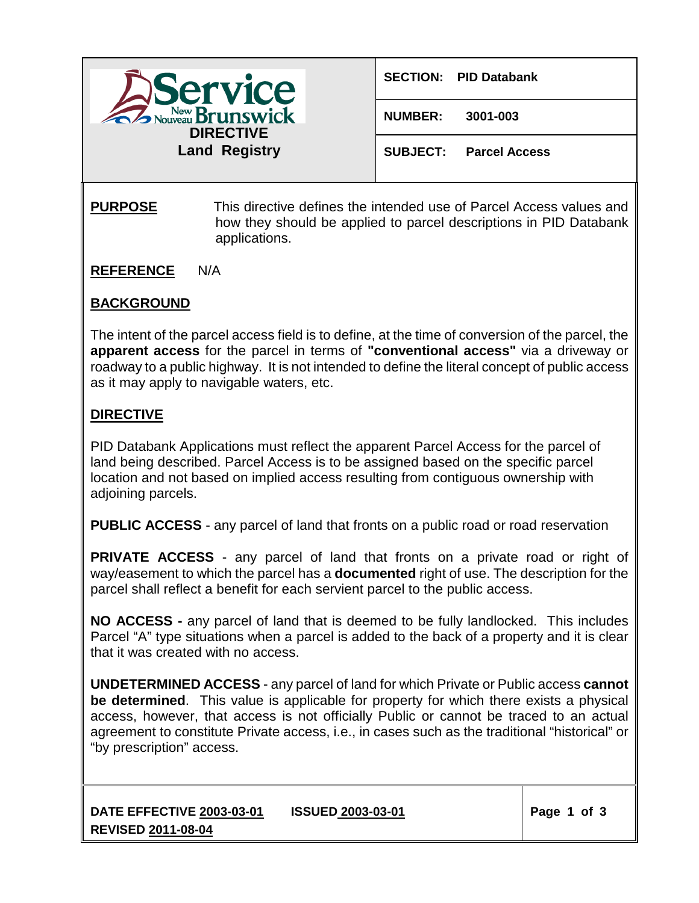

**NUMBER: 3001-003**

**SUBJECT: Parcel Access**

## **PURPOSE** This directive defines the intended use of Parcel Access values and how they should be applied to parcel descriptions in PID Databank applications.

**REFERENCE** N/A

## **BACKGROUND**

The intent of the parcel access field is to define, at the time of conversion of the parcel, the **apparent access** for the parcel in terms of **"conventional access"** via a driveway or roadway to a public highway. It is not intended to define the literal concept of public access as it may apply to navigable waters, etc.

## **DIRECTIVE**

PID Databank Applications must reflect the apparent Parcel Access for the parcel of land being described. Parcel Access is to be assigned based on the specific parcel location and not based on implied access resulting from contiguous ownership with adjoining parcels.

**PUBLIC ACCESS** - any parcel of land that fronts on a public road or road reservation

**PRIVATE ACCESS** - any parcel of land that fronts on a private road or right of way/easement to which the parcel has a **documented** right of use. The description for the parcel shall reflect a benefit for each servient parcel to the public access.

**NO ACCESS -** any parcel of land that is deemed to be fully landlocked. This includes Parcel "A" type situations when a parcel is added to the back of a property and it is clear that it was created with no access.

**UNDETERMINED ACCESS** - any parcel of land for which Private or Public access **cannot be determined**. This value is applicable for property for which there exists a physical access, however, that access is not officially Public or cannot be traced to an actual agreement to constitute Private access, i.e., in cases such as the traditional "historical" or "by prescription" access.

**DATE EFFECTIVE 2003-03-01 ISSUED 2003-03-01 REVISED 2011-08-04**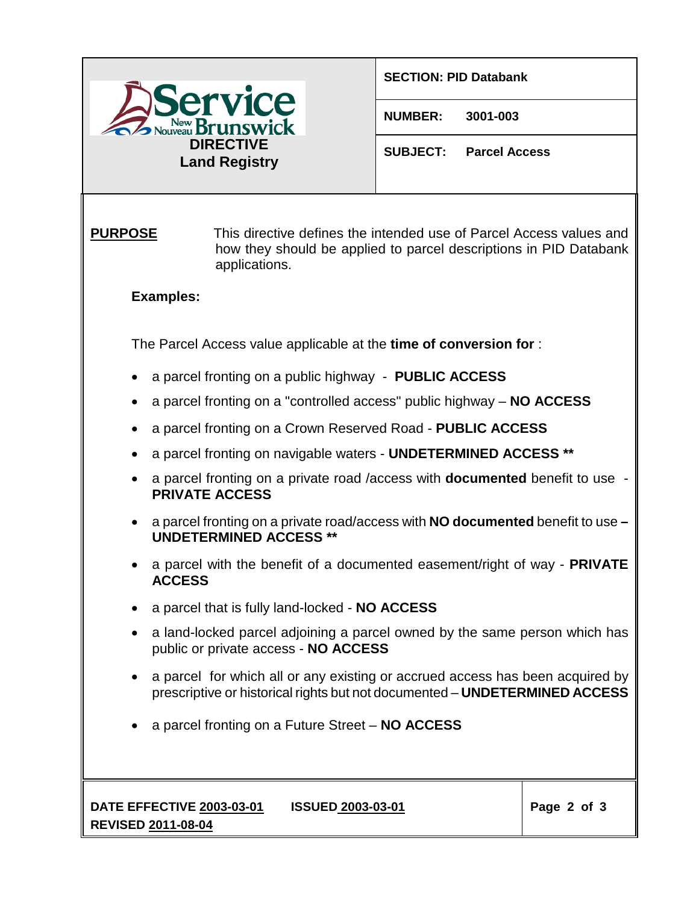

## **SECTION: PID Databank**

**NUMBER: 3001-003**

**SUBJECT: Parcel Access**

**PURPOSE** This directive defines the intended use of Parcel Access values and how they should be applied to parcel descriptions in PID Databank applications.

**Examples:**

The Parcel Access value applicable at the **time of conversion for** :

- a parcel fronting on a public highway **PUBLIC ACCESS**
- a parcel fronting on a "controlled access" public highway **NO ACCESS**
- a parcel fronting on a Crown Reserved Road **PUBLIC ACCESS**
- a parcel fronting on navigable waters **UNDETERMINED ACCESS \*\***
- a parcel fronting on a private road /access with **documented** benefit to use **PRIVATE ACCESS**
- a parcel fronting on a private road/access with **NO documented** benefit to use **– UNDETERMINED ACCESS \*\***
- a parcel with the benefit of a documented easement/right of way **PRIVATE ACCESS**
- a parcel that is fully land-locked **NO ACCESS**
- a land-locked parcel adjoining a parcel owned by the same person which has public or private access - **NO ACCESS**
- a parcel for which all or any existing or accrued access has been acquired by prescriptive or historical rights but not documented – **UNDETERMINED ACCESS**
- a parcel fronting on a Future Street **NO ACCESS**

**DATE EFFECTIVE 2003-03-01 ISSUED 2003-03-01 REVISED 2011-08-04**